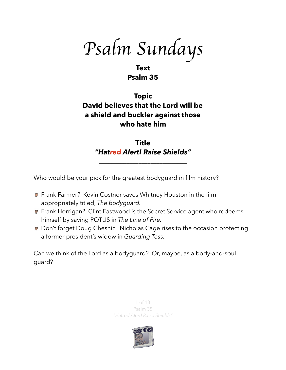*Psalm Sundays*

## **Text Psalm 35**

# **Topic David believes that the Lord will be a shield and buckler against those who hate him**

**Title**  *"Hatred Alert! Raise Shields"* 

\_\_\_\_\_\_\_\_\_\_\_\_\_\_\_\_\_\_\_\_\_\_\_\_\_\_\_\_\_

Who would be your pick for the greatest bodyguard in film history?

- **P** Frank Farmer? Kevin Costner saves Whitney Houston in the film appropriately titled, *The Bodyguard.*
- **P** Frank Horrigan? Clint Eastwood is the Secret Service agent who redeems himself by saving POTUS in *The Line of Fire.*
- **Don't forget Doug Chesnic. Nicholas Cage rises to the occasion protecting** a former president's widow in *Guarding Tess.*

Can we think of the Lord as a bodyguard? Or, maybe, as a body-and-soul guard?

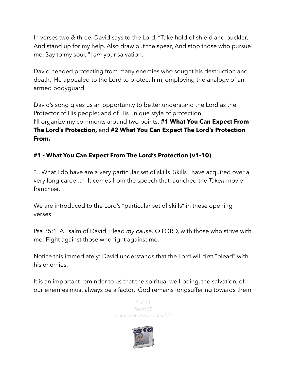In verses two & three, David says to the Lord, "Take hold of shield and buckler, And stand up for my help. Also draw out the spear, And stop those who pursue me. Say to my soul, "I *am* your salvation."

David needed protecting from many enemies who sought his destruction and death. He appealed to the Lord to protect him, employing the analogy of an armed bodyguard.

David's song gives us an opportunity to better understand the Lord as the Protector of His people; and of His unique style of protection. I'll organize my comments around two points: **#1 What You Can Expect From The Lord's Protection,** and **#2 What You Can Expect The Lord's Protection From.** 

## **#1 - What You Can Expect From The Lord's Protection (v1-10)**

"... What I do have are a very particular set of skills. Skills I have acquired over a very long career..." It comes from the speech that launched the *Taken* movie franchise.

We are introduced to the Lord's "particular set of skills" in these opening verses.

Psa 35:1 A Psalm of David. Plead *my cause,* O LORD, with those who strive with me; Fight against those who fight against me.

Notice this immediately: David understands that the Lord will first "plead" with his enemies.

It is an important reminder to us that the spiritual well-being, the salvation, of our enemies must always be a factor. God remains longsuffering towards them

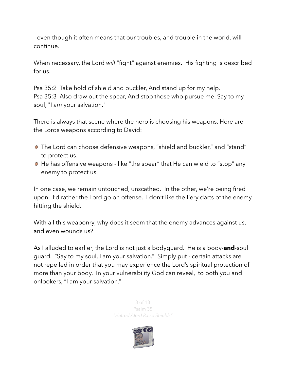- even though it often means that our troubles, and trouble in the world, will continue.

When necessary, the Lord *will* "fight" against enemies. His fighting is described for us.

Psa 35:2 Take hold of shield and buckler, And stand up for my help. Psa 35:3 Also draw out the spear, And stop those who pursue me. Say to my soul, "I *am* your salvation."

There is always that scene where the hero is choosing his weapons. Here are the Lords weapons according to David:

- The Lord can choose defensive weapons, "shield and buckler," and "stand" to protect us.
- **■** He has offensive weapons like "the spear" that He can wield to "stop" any enemy to protect us.

In one case, we remain untouched, unscathed. In the other, we're being fired upon. I'd rather the Lord go on offense. I don't like the fiery darts of the enemy hitting the shield.

With all this weaponry, why does it seem that the enemy advances against us, and even wounds us?

As I alluded to earlier, the Lord is not just a bodyguard. He is a body-**and**-soul guard. "Say to my soul, I am your salvation." Simply put - certain attacks are not repelled in order that you may experience the Lord's spiritual protection of more than your body. In your vulnerability God can reveal, to both you and onlookers, "I am your salvation."

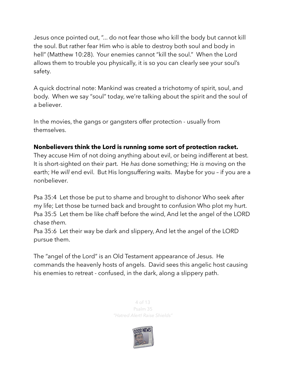Jesus once pointed out, "... do not fear those who kill the body but cannot kill the soul. But rather fear Him who is able to destroy both soul and body in hell" (Matthew 10:28). Your enemies cannot "kill the soul." When the Lord allows them to trouble you physically, it is so you can clearly see your soul's safety.

A quick doctrinal note: Mankind was created a trichotomy of spirit, soul, and body. When we say "soul" today, we're talking about the spirit and the soul of a believer.

In the movies, the gangs or gangsters offer protection - usually from themselves.

#### **Nonbelievers think the Lord is running some sort of protection racket.**

They accuse Him of not doing anything about evil, or being indifferent at best. It is short-sighted on their part. He *has* done something; He *is* moving on the earth; He *will* end evil. But His longsuffering waits. Maybe for you – if you are a nonbeliever.

Psa 35:4 Let those be put to shame and brought to dishonor Who seek after my life; Let those be turned back and brought to confusion Who plot my hurt. Psa 35:5 Let them be like chaff before the wind, And let the angel of the LORD chase *them.*

Psa 35:6 Let their way be dark and slippery, And let the angel of the LORD pursue them.

The "angel of the Lord" is an Old Testament appearance of Jesus. He commands the heavenly hosts of angels. David sees this angelic host causing his enemies to retreat - confused, in the dark, along a slippery path.

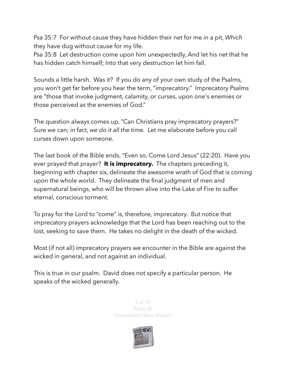Psa 35:7 For without cause they have hidden their net for me *in* a pit, *Which* they have dug without cause for my life.

Psa 35:8 Let destruction come upon him unexpectedly, And let his net that he has hidden catch himself; Into that very destruction let him fall.

Sounds a little harsh. Was it? If you do any of your own study of the Psalms, you won't get far before you hear the term, "imprecatory." Imprecatory Psalms are "those that invoke judgment, calamity, or [curses,](https://en.wikipedia.org/wiki/Curse) upon one's enemies or those perceived as the enemies of God."

The question always comes up, "Can Christians pray imprecatory prayers?" Sure we can; in fact, *we do it all the time.* Let me elaborate before you call curses down upon someone.

The last book of the Bible ends, "Even so, Come Lord Jesus" (22:20). Have you ever prayed that prayer? **It is imprecatory.** The chapters preceding it, beginning with chapter six, delineate the awesome wrath of God that is coming upon the whole world. They delineate the final judgment of men and supernatural beings, who will be thrown alive into the Lake of Fire to suffer eternal, conscious torment.

To pray for the Lord to "come" is, therefore, imprecatory. But notice that imprecatory prayers acknowledge that the Lord has been reaching out to the lost, seeking to save them. He takes no delight in the death of the wicked.

Most (if not all) imprecatory prayers we encounter in the Bible are against the wicked in general, and not against an individual.

This is true in our psalm. David does not specify a particular person. He speaks of the wicked generally.

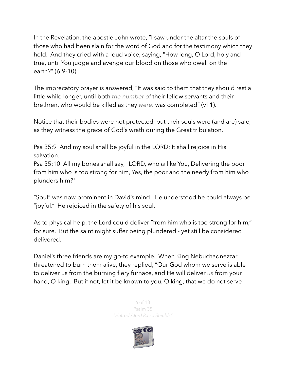In the Revelation, the apostle John wrote, "I saw under the altar the souls of those who had been slain for the word of God and for the testimony which they held. And they cried with a loud voice, saying, "How long, O Lord, holy and true, until You judge and avenge our blood on those who dwell on the earth?" (6:9-10).

The imprecatory prayer is answered, "It was said to them that they should rest a little while longer, until both *the number of* their fellow servants and their brethren, who would be killed as they *were,* was completed" (v11).

Notice that their bodies were not protected, but their souls were (and are) safe, as they witness the grace of God's wrath during the Great tribulation.

Psa 35:9 And my soul shall be joyful in the LORD; It shall rejoice in His salvation.

Psa 35:10 All my bones shall say, "LORD, who *is* like You, Delivering the poor from him who is too strong for him, Yes, the poor and the needy from him who plunders him?"

"Soul" was now prominent in David's mind. He understood he could always be "joyful." He rejoiced in the safety of his soul.

As to physical help, the Lord could deliver "from him who is too strong for him," for sure. But the saint might suffer being plundered - yet still be considered delivered.

Daniel's three friends are my go-to example. When King Nebuchadnezzar threatened to burn them alive, they replied, "Our God whom we serve is able to deliver us from the burning fiery furnace, and He will deliver *us* from your hand, O king. But if not, let it be known to you, O king, that we do not serve

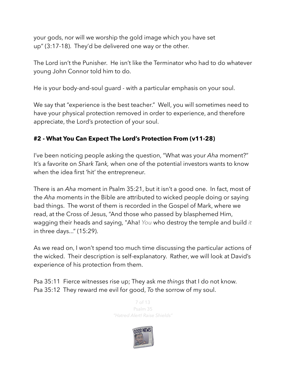your gods, nor will we worship the gold image which you have set up" (3:17-18). They'd be delivered one way or the other.

The Lord isn't the Punisher. He isn't like the Terminator who had to do whatever young John Connor told him to do.

He is your body-and-soul guard - with a particular emphasis on your soul.

We say that "experience is the best teacher." Well, you will sometimes need to have your physical protection removed in order to experience, and therefore appreciate, the Lord's protection of your soul.

### **#2 - What You Can Expect The Lord's Protection From (v11-28)**

I've been noticing people asking the question, "What was your *Aha* moment?" It's a favorite on *Shark Tank,* when one of the potential investors wants to know when the idea first 'hit' the entrepreneur.

There is an *Aha* moment in Psalm 35:21, but it isn't a good one. In fact, most of the *Aha* moments in the Bible are attributed to wicked people doing or saying bad things. The worst of them is recorded in the Gospel of Mark, where we read, at the Cross of Jesus, "And those who passed by blasphemed Him, wagging their heads and saying, "Aha! *You* who destroy the temple and build *it* in three days..." (15:29).

As we read on, I won't spend too much time discussing the particular actions of the wicked. Their description is self-explanatory. Rather, we will look at David's experience of his protection from them.

Psa 35:11 Fierce witnesses rise up; They ask me *things* that I do not know. Psa 35:12 They reward me evil for good, *To* the sorrow of my soul.

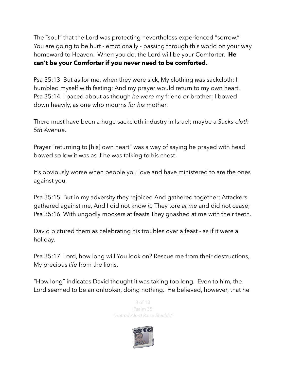The "soul" that the Lord was protecting nevertheless experienced "sorrow." You are going to be hurt - emotionally - passing through this world on your way homeward to Heaven. When you do, the Lord will be your Comforter. **He can't be your Comforter if you never need to be comforted.**

Psa 35:13 But as for me, when they were sick, My clothing *was* sackcloth; I humbled myself with fasting; And my prayer would return to my own heart. Psa 35:14 I paced about as though *he were* my friend *or* brother; I bowed down heavily, as one who mourns *for his* mother.

There must have been a huge sackcloth industry in Israel; maybe a *Sacks-cloth 5th Avenue*.

Prayer "returning to [his] own heart" was a way of saying he prayed with head bowed so low it was as if he was talking to his chest.

It's obviously worse when people you love and have ministered to are the ones against you.

Psa 35:15 But in my adversity they rejoiced And gathered together; Attackers gathered against me, And I did not know *it;* They tore *at me* and did not cease; Psa 35:16 With ungodly mockers at feasts They gnashed at me with their teeth.

David pictured them as celebrating his troubles over a feast - as if it were a holiday.

Psa 35:17 Lord, how long will You look on? Rescue me from their destructions, My precious *life* from the lions.

"How long" indicates David thought it was taking too long. Even to him, the Lord seemed to be an onlooker, doing nothing. He believed, however, that he

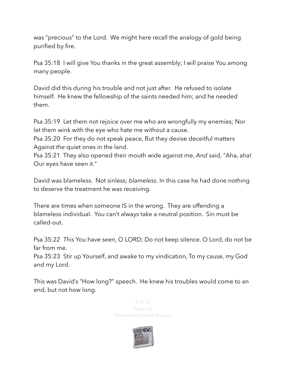was "precious" to the Lord. We might here recall the analogy of gold being purified by fire.

Psa 35:18 I will give You thanks in the great assembly; I will praise You among many people.

David did this *during* his trouble and not just after. He refused to isolate himself. He knew the fellowship of the saints needed him; and he needed them.

Psa 35:19 Let them not rejoice over me who are wrongfully my enemies; Nor let them wink with the eye who hate me without a cause.

Psa 35:20 For they do not speak peace, But they devise deceitful matters Against *the* quiet ones in the land.

Psa 35:21 They also opened their mouth wide against me, *And* said, "Aha, aha! Our eyes have seen *it.*"

David was blameless. Not sinless; *blameless*. In this case he had done nothing to deserve the treatment he was receiving.

There are times when someone IS in the wrong. They are offending a blameless individual. You can't always take a neutral position. Sin must be called-out.

Psa 35:22 *This* You have seen, O LORD; Do not keep silence. O Lord, do not be far from me.

Psa 35:23 Stir up Yourself, and awake to my vindication, To my cause, my God and my Lord.

This was David's "How long?" speech. He knew his troubles would come to an end, but not how long.

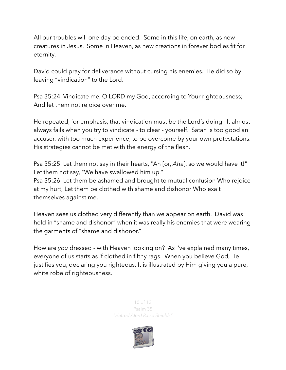All our troubles will one day be ended. Some in this life, on earth, as new creatures in Jesus. Some in Heaven, as new creations in forever bodies fit for eternity.

David could pray for deliverance without cursing his enemies. He did so by leaving "vindication" to the Lord.

Psa 35:24 Vindicate me, O LORD my God, according to Your righteousness; And let them not rejoice over me.

He repeated, for emphasis, that vindication must be the Lord's doing. It almost always fails when you try to vindicate - to clear - yourself. Satan is too good an accuser, with too much experience, to be overcome by your own protestations. His strategies cannot be met with the energy of the flesh.

Psa 35:25 Let them not say in their hearts, "Ah [or, *Aha*], so we would have it!" Let them not say, "We have swallowed him up." Psa 35:26 Let them be ashamed and brought to mutual confusion Who rejoice at my hurt; Let them be clothed with shame and dishonor Who exalt themselves against me.

Heaven sees us clothed very differently than we appear on earth. David was held in "shame and dishonor" when it was really his enemies that were wearing the garments of "shame and dishonor."

How are *you* dressed - with Heaven looking on? As I've explained many times, everyone of us starts as if clothed in filthy rags. When you believe God, He justifies you, declaring you righteous. It is illustrated by Him giving you a pure, white robe of righteousness.

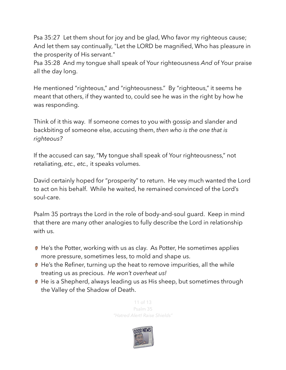Psa 35:27 Let them shout for joy and be glad, Who favor my righteous cause; And let them say continually, "Let the LORD be magnified, Who has pleasure in the prosperity of His servant."

Psa 35:28 And my tongue shall speak of Your righteousness *And* of Your praise all the day long.

He mentioned "righteous," and "righteousness." By "righteous," it seems he meant that others, if they wanted to, could see he was in the right by how he was responding.

Think of it this way. If someone comes to you with gossip and slander and backbiting of someone else, accusing them, *then who is the one that is righteous?*

If the accused can say, "My tongue shall speak of Your righteousness," not retaliating, *etc., etc.,* it speaks volumes.

David certainly hoped for "prosperity" to return. He vey much wanted the Lord to act on his behalf. While he waited, he remained convinced of the Lord's soul-care.

Psalm 35 portrays the Lord in the role of body-and-soul guard. Keep in mind that there are many other analogies to fully describe the Lord in relationship with us.

- **■** He's the Potter, working with us as clay. As Potter, He sometimes applies more pressure, sometimes less, to mold and shape us.
- **■** He's the Refiner, turning up the heat to remove impurities, all the while treating us as precious. *He won't overheat us!*
- He is a Shepherd, always leading us as His sheep, but sometimes through the Valley of the Shadow of Death.

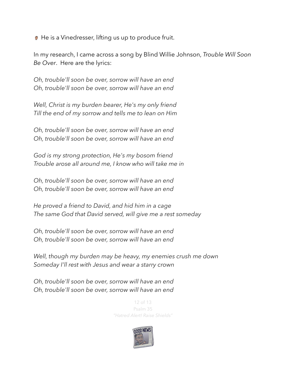**●** He is a Vinedresser, lifting us up to produce fruit.

In my research, I came across a song by Blind Willie Johnson, *Trouble Will Soon Be Over*. Here are the lyrics:

*Oh, trouble'll soon be over, sorrow will have an end Oh, trouble'll soon be over, sorrow will have an end* 

*Well, Christ is my burden bearer, He's my only friend Till the end of my sorrow and tells me to lean on Him* 

*Oh, trouble'll soon be over, sorrow will have an end Oh, trouble'll soon be over, sorrow will have an end* 

*God is my strong protection, He's my bosom friend Trouble arose all around me, I know who will take me in* 

*Oh, trouble'll soon be over, sorrow will have an end Oh, trouble'll soon be over, sorrow will have an end* 

*He proved a friend to David, and hid him in a cage The same God that David served, will give me a rest someday* 

*Oh, trouble'll soon be over, sorrow will have an end Oh, trouble'll soon be over, sorrow will have an end* 

*Well, though my burden may be heavy, my enemies crush me down Someday I'll rest with Jesus and wear a starry crown* 

*Oh, trouble'll soon be over, sorrow will have an end Oh, trouble'll soon be over, sorrow will have an end*